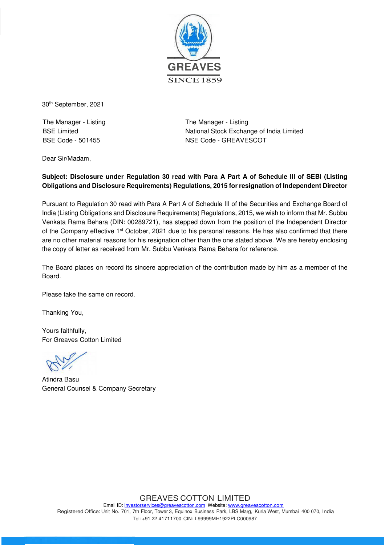

30th September, 2021

The Manager - Listing BSE Limited BSE Code - 501455

The Manager - Listing National Stock Exchange of India Limited NSE Code - GREAVESCOT

Dear Sir/Madam,

## **Subject: Disclosure under Regulation 30 read with Para A Part A of Schedule III of SEBI (Listing Obligations and Disclosure Requirements) Regulations, 2015 for resignation of Independent Director**

Pursuant to Regulation 30 read with Para A Part A of Schedule III of the Securities and Exchange Board of India (Listing Obligations and Disclosure Requirements) Regulations, 2015, we wish to inform that Mr. Subbu Venkata Rama Behara (DIN: 00289721), has stepped down from the position of the Independent Director of the Company effective 1st October, 2021 due to his personal reasons. He has also confirmed that there are no other material reasons for his resignation other than the one stated above. We are hereby enclosing the copy of letter as received from Mr. Subbu Venkata Rama Behara for reference.

The Board places on record its sincere appreciation of the contribution made by him as a member of the Board.

Please take the same on record.

Thanking You,

Yours faithfully, For Greaves Cotton Limited

Atindra Basu General Counsel & Company Secretary

GREAVES COTTON LIMITED Email ID: investorservices@greavescotton.com Website: www.greavescotton.com Registered Office: Unit No. 701, 7th Floor, Tower 3, Equinox Business Park, LBS Marg, Kurla West, Mumbai 400 070, India Tel: +91 22 41711700 CIN: L99999MH1922PLC000987